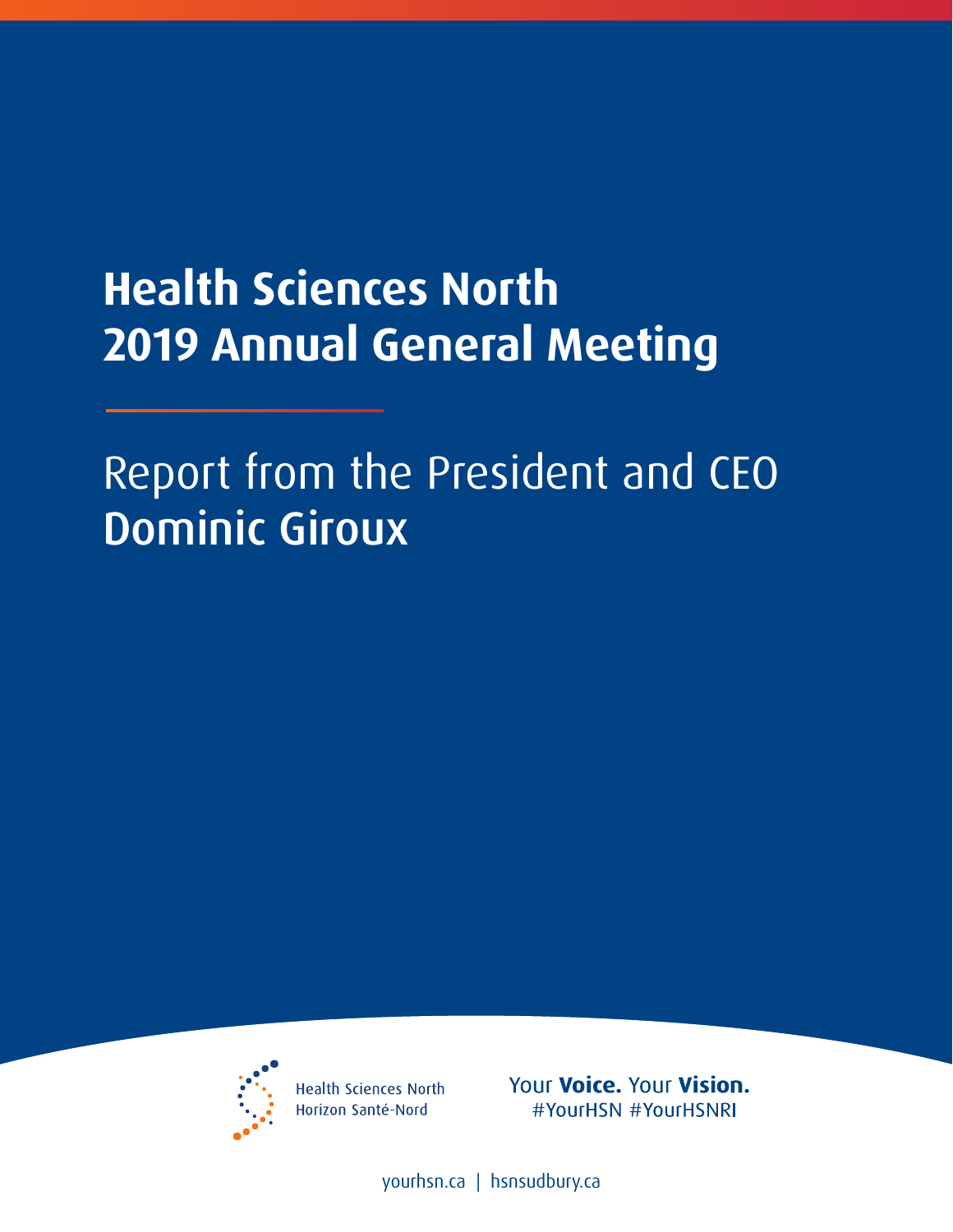# **Health Sciences North 2019 Annual General Meeting**

# Report from the President and CEO Dominic Giroux



**Health Sciences North** Horizon Santé-Nord

Your Voice. Your Vision. #YourHSN #YourHSNRI

[yourhsn.ca](www.yourhsn.ca) | [hsnsudbury.ca](www.hsnsudbury.ca)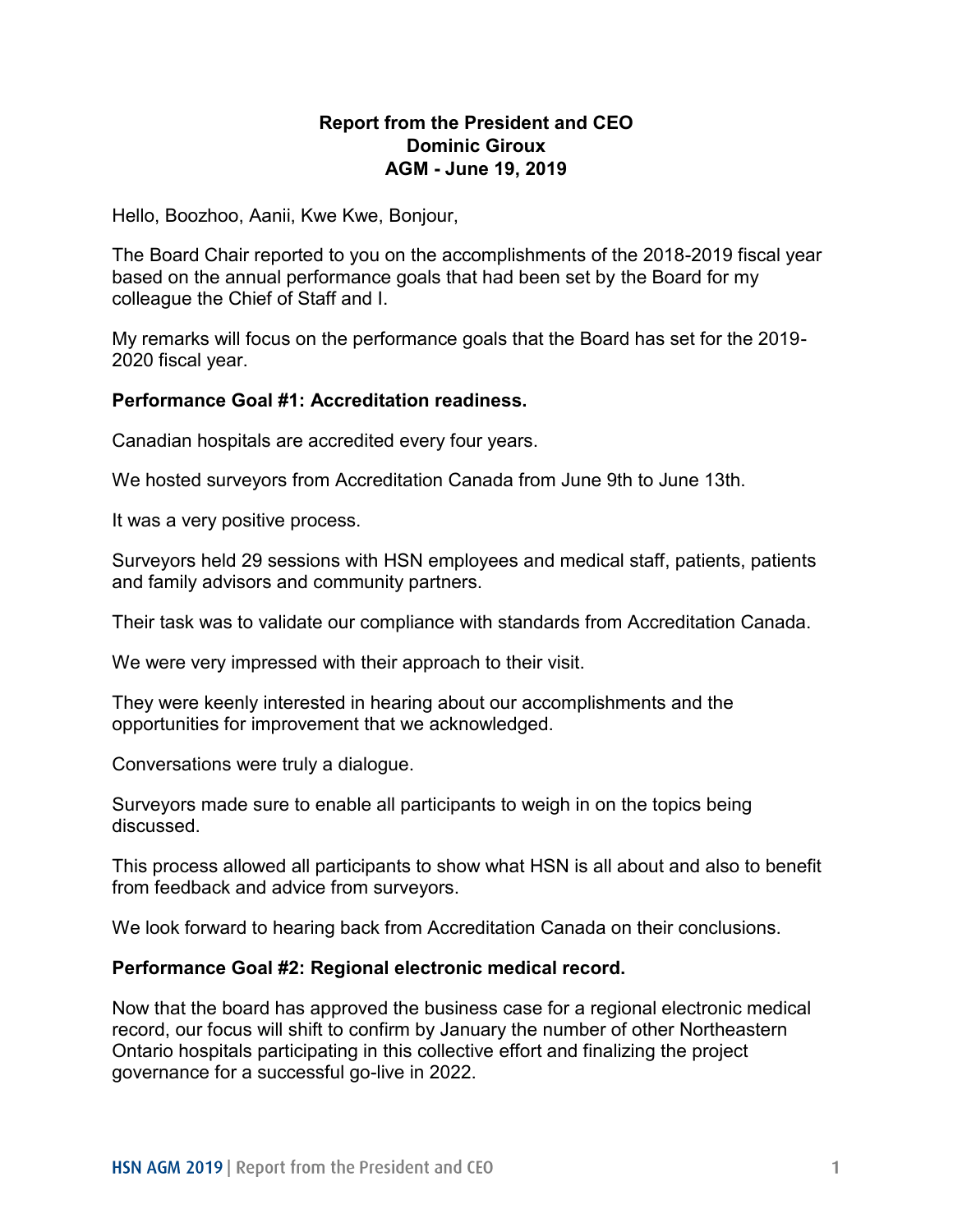## **AGM - June 19, 2019 Report from the President and CEO Dominic Giroux**

Hello, Boozhoo, Aanii, Kwe Kwe, Bonjour,

The Board Chair reported to you on the accomplishments of the 2018-2019 fiscal year based on the annual performance goals that had been set by the Board for my colleague the Chief of Staff and I.

My remarks will focus on the performance goals that the Board has set for the 2019- 2020 fiscal year.

#### **Performance Goal #1: Accreditation readiness.**

Canadian hospitals are accredited every four years.

We hosted surveyors from Accreditation Canada from June 9th to June 13th.

It was a very positive process.

Surveyors held 29 sessions with HSN employees and medical staff, patients, patients and family advisors and community partners.

Their task was to validate our compliance with standards from Accreditation Canada.

We were very impressed with their approach to their visit.

They were keenly interested in hearing about our accomplishments and the opportunities for improvement that we acknowledged.

Conversations were truly a dialogue.

Surveyors made sure to enable all participants to weigh in on the topics being discussed.

This process allowed all participants to show what HSN is all about and also to benefit from feedback and advice from surveyors.

We look forward to hearing back from Accreditation Canada on their conclusions.

#### **Performance Goal #2: Regional electronic medical record.**

 Ontario hospitals participating in this collective effort and finalizing the project Now that the board has approved the business case for a regional electronic medical record, our focus will shift to confirm by January the number of other Northeastern governance for a successful go-live in 2022.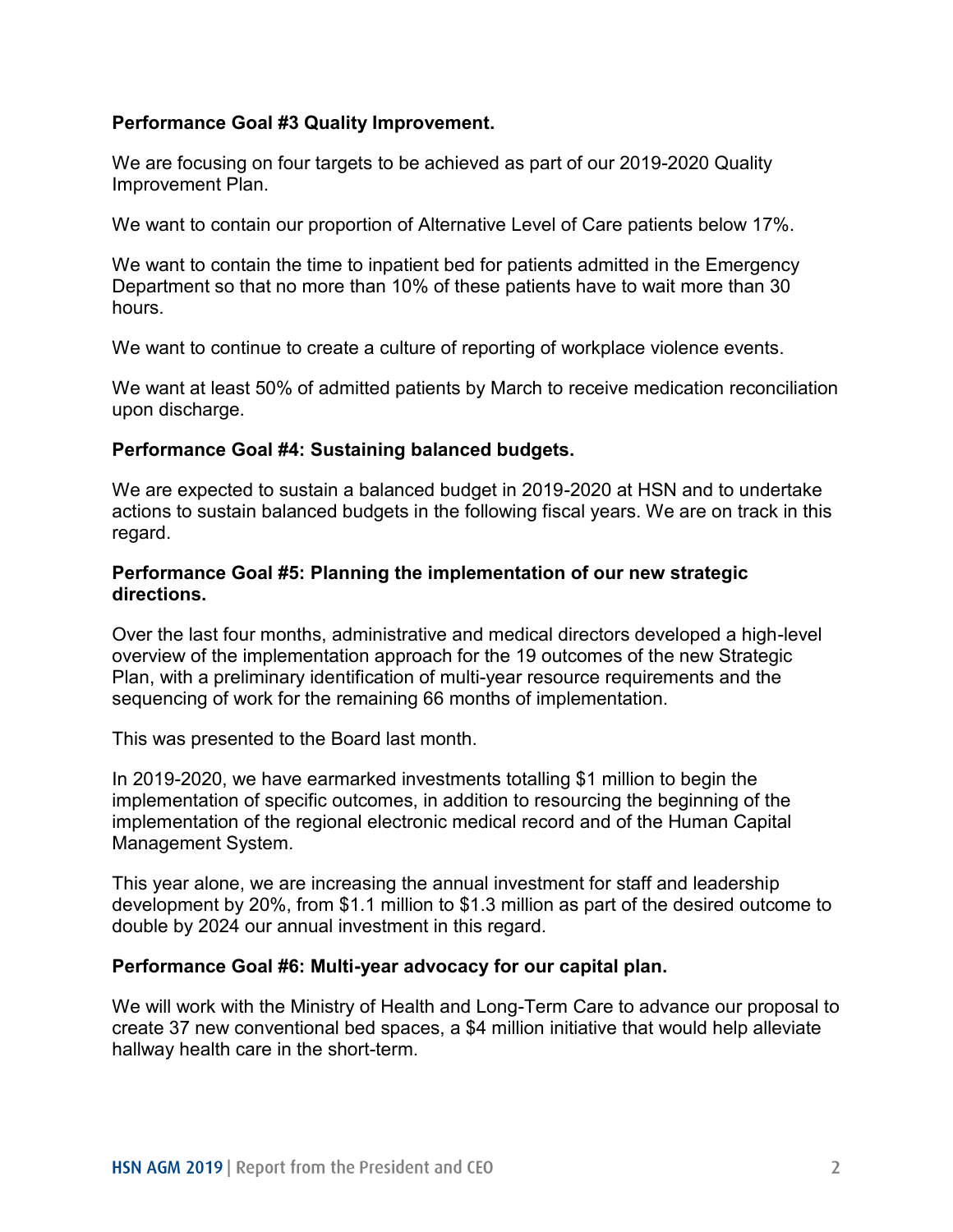## **Performance Goal #3 Quality Improvement.**

 We are focusing on four targets to be achieved as part of our 2019-2020 Quality Improvement Plan.

We want to contain our proportion of Alternative Level of Care patients below 17%.

 Department so that no more than 10% of these patients have to wait more than 30 We want to contain the time to inpatient bed for patients admitted in the Emergency hours.

We want to continue to create a culture of reporting of workplace violence events.

We want at least 50% of admitted patients by March to receive medication reconciliation upon discharge.

## **Performance Goal #4: Sustaining balanced budgets.**

 We are expected to sustain a balanced budget in 2019-2020 at HSN and to undertake actions to sustain balanced budgets in the following fiscal years. We are on track in this regard.

## **directions. Performance Goal #5: Planning the implementation of our new strategic**

 overview of the implementation approach for the 19 outcomes of the new Strategic Plan, with a preliminary identification of multi-year resource requirements and the sequencing of work for the remaining 66 months of implementation. Over the last four months, administrative and medical directors developed a high-level

This was presented to the Board last month.

sequencing of work for the remaining 66 months of implementation.<br>This was presented to the Board last month.<br>In 2019-2020, we have earmarked investments totalling \$1 million to begin the implementation of specific outcomes, in addition to resourcing the beginning of the implementation of the regional electronic medical record and of the Human Capital Management System.

 This year alone, we are increasing the annual investment for staff and leadership development by 20%, from \$1.1 million to \$1.3 million as part of the desired outcome to double by 2024 our annual investment in this regard.

#### **Performance Goal #6: Multi-year advocacy for our capital plan.**

 create 37 new conventional bed spaces, a \$4 million initiative that would help alleviate We will work with the Ministry of Health and Long-Term Care to advance our proposal to hallway health care in the short-term.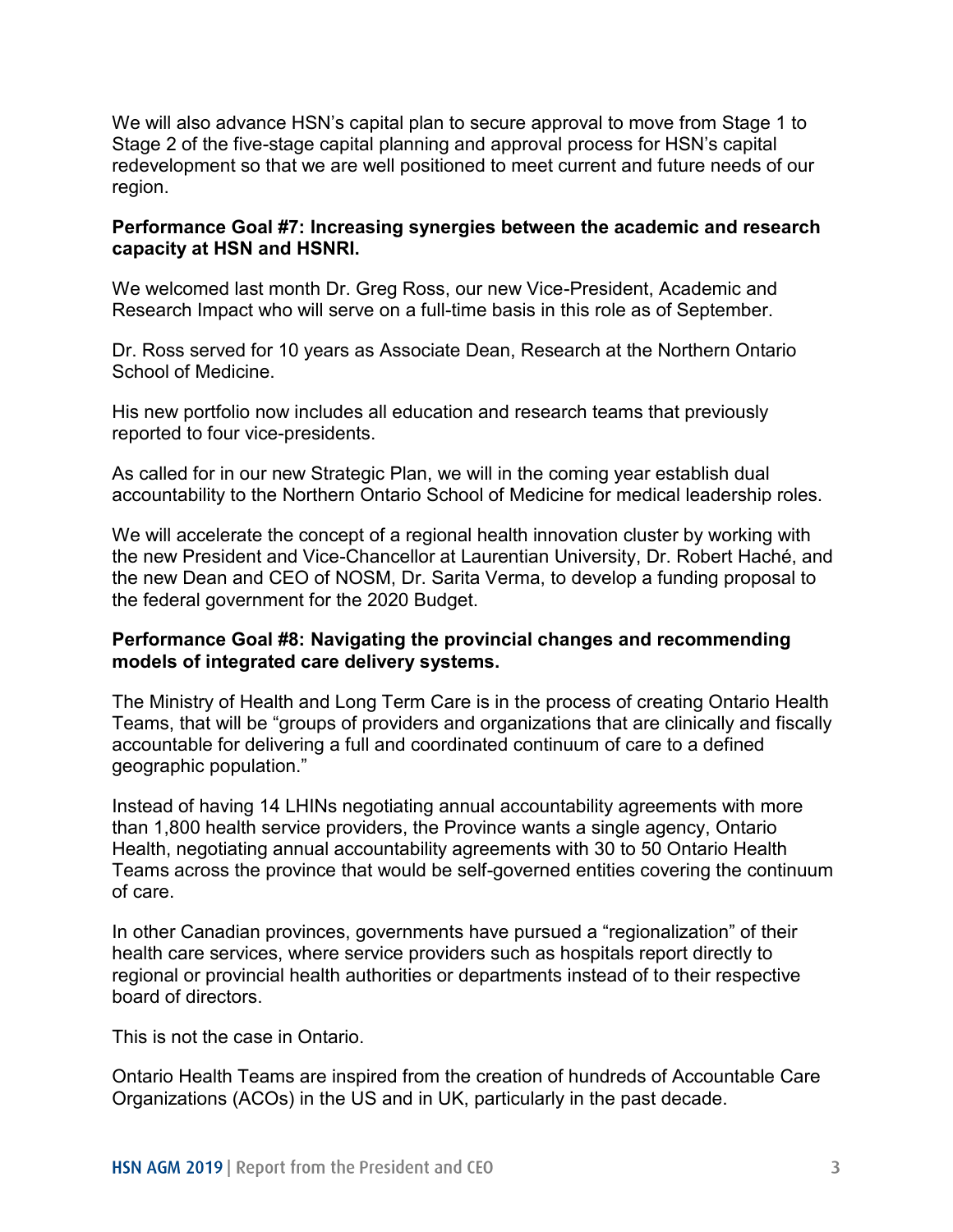We will also advance HSN's capital plan to secure approval to move from Stage 1 to Stage 2 of the five-stage capital planning and approval process for HSN's capital redevelopment so that we are well positioned to meet current and future needs of our region.

## **capacity at HSN and HSNRI. Performance Goal #7: Increasing synergies between the academic and research**

We welcomed last month Dr. Greg Ross, our new Vice-President, Academic and Research Impact who will serve on a full-time basis in this role as of September.

Dr. Ross served for 10 years as Associate Dean, Research at the Northern Ontario School of Medicine.

reported to four vice-presidents. His new portfolio now includes all education and research teams that previously

reported to four vice-presidents.<br>As called for in our new Strategic Plan, we will in the coming year establish dual accountability to the Northern Ontario School of Medicine for medical leadership roles.

 We will accelerate the concept of a regional health innovation cluster by working with the new Dean and CEO of NOSM, Dr. Sarita Verma, to develop a funding proposal to the new President and Vice-Chancellor at Laurentian University, Dr. Robert Haché, and the federal government for the 2020 Budget.

#### **Performance Goal #8: Navigating the provincial changes and recommending models of integrated care delivery systems.**

The Ministry of Health and Long Term Care is in the process of creating Ontario Health Teams, that will be "groups of providers and organizations that are clinically and fiscally accountable for delivering a full and coordinated continuum of care to a defined geographic population."

Instead of having 14 LHINs negotiating annual accountability agreements with more than 1,800 health service providers, the Province wants a single agency, Ontario Health, negotiating annual accountability agreements with 30 to 50 Ontario Health Teams across the province that would be self-governed entities covering the continuum of care.

In other Canadian provinces, governments have pursued a "regionalization" of their health care services, where service providers such as hospitals report directly to regional or provincial health authorities or departments instead of to their respective board of directors.

This is not the case in Ontario.

Ontario Health Teams are inspired from the creation of hundreds of Accountable Care Organizations (ACOs) in the US and in UK, particularly in the past decade.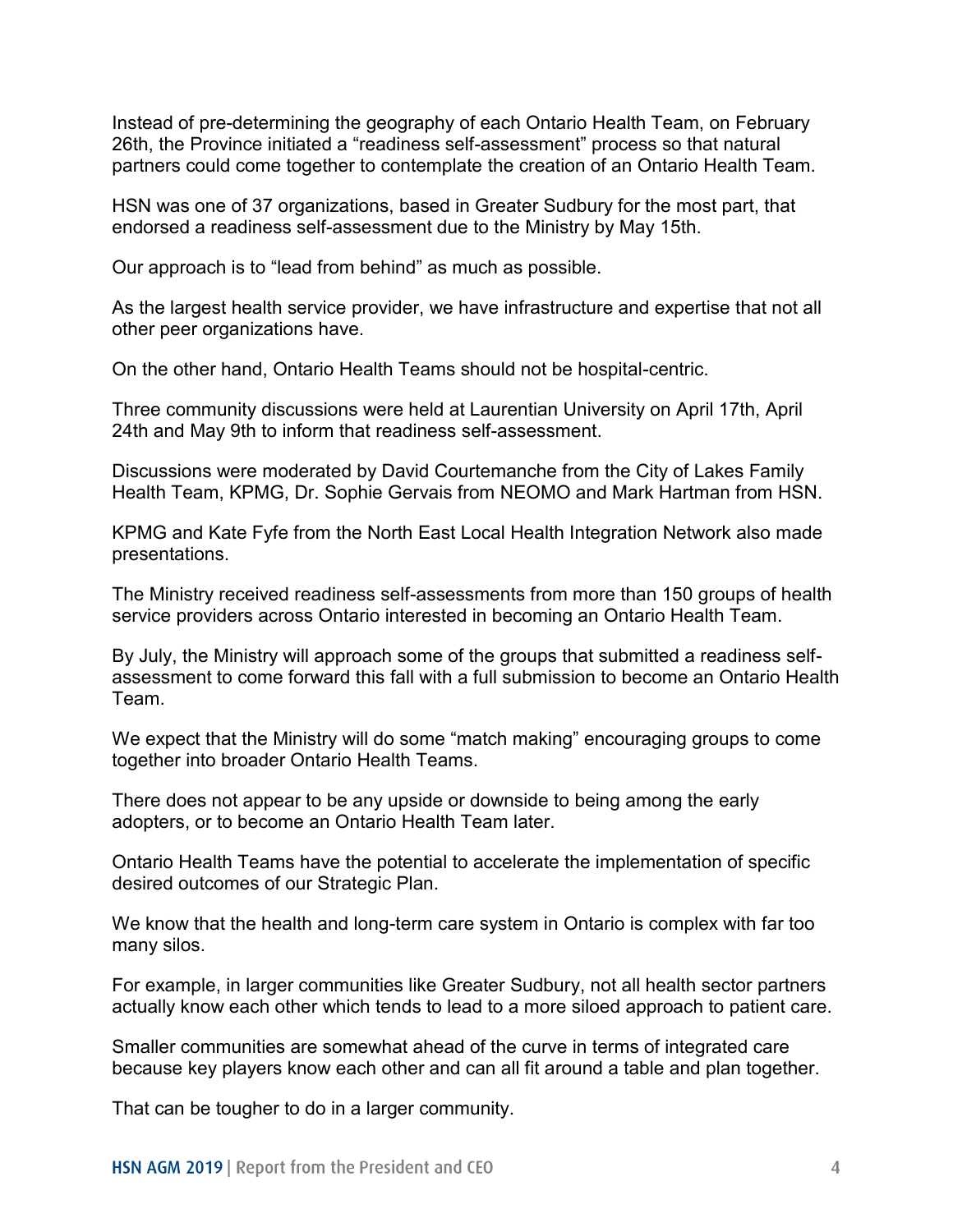partners could come together to contemplate the creation of an Ontario Health Team. Instead of pre-determining the geography of each Ontario Health Team, on February 26th, the Province initiated a "readiness self-assessment" process so that natural

 endorsed a readiness self-assessment due to the Ministry by May 15th. HSN was one of 37 organizations, based in Greater Sudbury for the most part, that

Our approach is to "lead from behind" as much as possible.

As the largest health service provider, we have infrastructure and expertise that not all other peer organizations have.

On the other hand, Ontario Health Teams should not be hospital-centric.

24th and May 9th to inform that readiness self-assessment. Three community discussions were held at Laurentian University on April 17th, April

 Health Team, KPMG, Dr. Sophie Gervais from NEOMO and Mark Hartman from HSN. Discussions were moderated by David Courtemanche from the City of Lakes Family

KPMG and Kate Fyfe from the North East Local Health Integration Network also made presentations.

 The Ministry received readiness self-assessments from more than 150 groups of health service providers across Ontario interested in becoming an Ontario Health Team.

By July, the Ministry will approach some of the groups that submitted a readiness selfassessment to come forward this fall with a full submission to become an Ontario Health Team.

 together into broader Ontario Health Teams. We expect that the Ministry will do some "match making" encouraging groups to come

There does not appear to be any upside or downside to being among the early adopters, or to become an Ontario Health Team later.

 Ontario Health Teams have the potential to accelerate the implementation of specific desired outcomes of our Strategic Plan.

many silos. We know that the health and long-term care system in Ontario is complex with far too

 actually know each other which tends to lead to a more siloed approach to patient care. For example, in larger communities like Greater Sudbury, not all health sector partners

 because key players know each other and can all fit around a table and plan together. Smaller communities are somewhat ahead of the curve in terms of integrated care

That can be tougher to do in a larger community.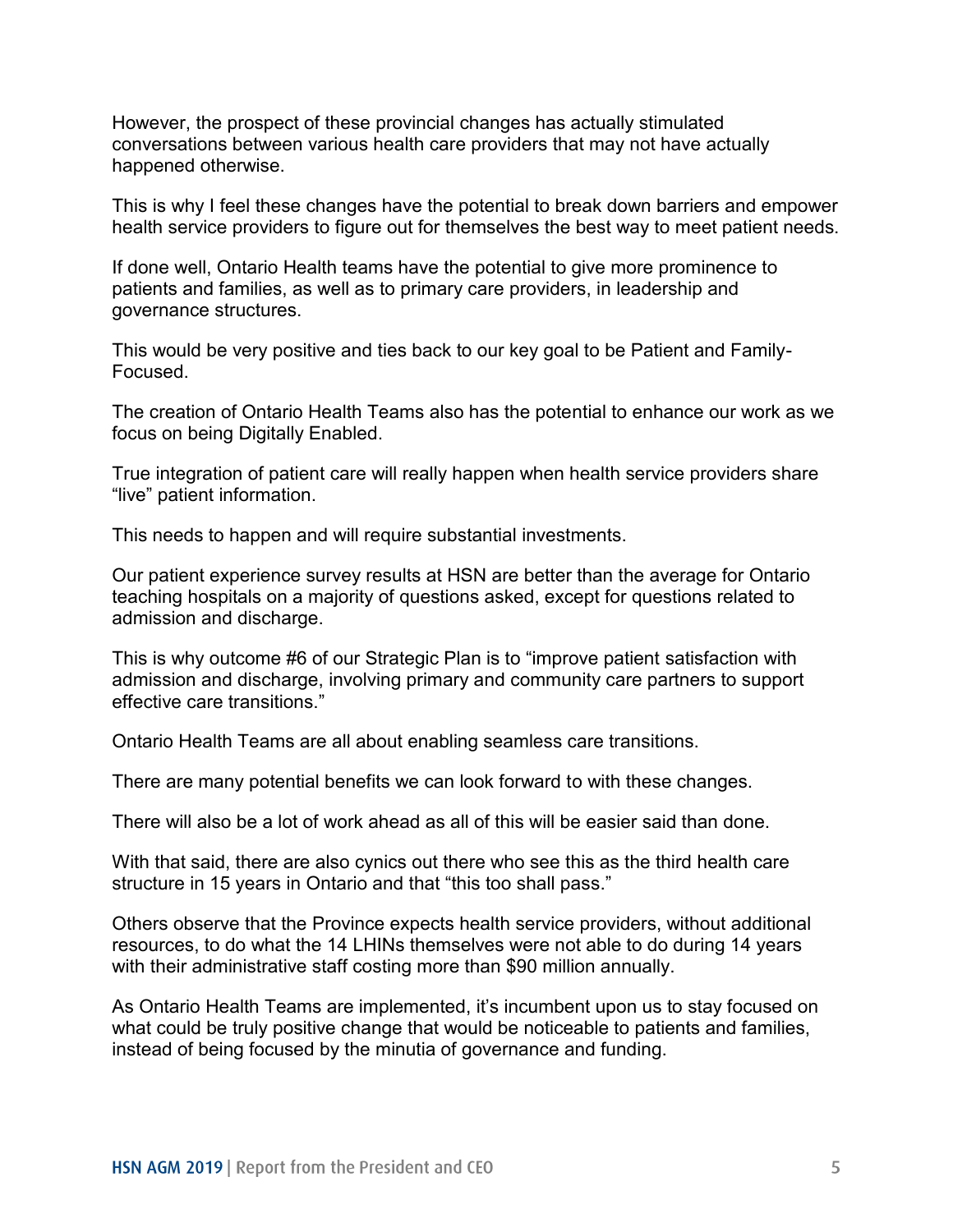happened otherwise. However, the prospect of these provincial changes has actually stimulated conversations between various health care providers that may not have actually

This is why I feel these changes have the potential to break down barriers and empower health service providers to figure out for themselves the best way to meet patient needs.

governance structures. If done well, Ontario Health teams have the potential to give more prominence to patients and families, as well as to primary care providers, in leadership and

This would be very positive and ties back to our key goal to be Patient and Family-Focused.

 The creation of Ontario Health Teams also has the potential to enhance our work as we focus on being Digitally Enabled.

True integration of patient care will really happen when health service providers share "live" patient information.

This needs to happen and will require substantial investments.

 teaching hospitals on a majority of questions asked, except for questions related to admission and discharge. Our patient experience survey results at HSN are better than the average for Ontario

This is why outcome #6 of our Strategic Plan is to "improve patient satisfaction with admission and discharge, involving primary and community care partners to support effective care transitions."

Ontario Health Teams are all about enabling seamless care transitions.

There are many potential benefits we can look forward to with these changes.

There will also be a lot of work ahead as all of this will be easier said than done.

With that said, there are also cynics out there who see this as the third health care structure in 15 years in Ontario and that "this too shall pass."

 resources, to do what the 14 LHINs themselves were not able to do during 14 years with their administrative staff costing more than \$90 million annually. Others observe that the Province expects health service providers, without additional

 As Ontario Health Teams are implemented, it's incumbent upon us to stay focused on what could be truly positive change that would be noticeable to patients and families, instead of being focused by the minutia of governance and funding.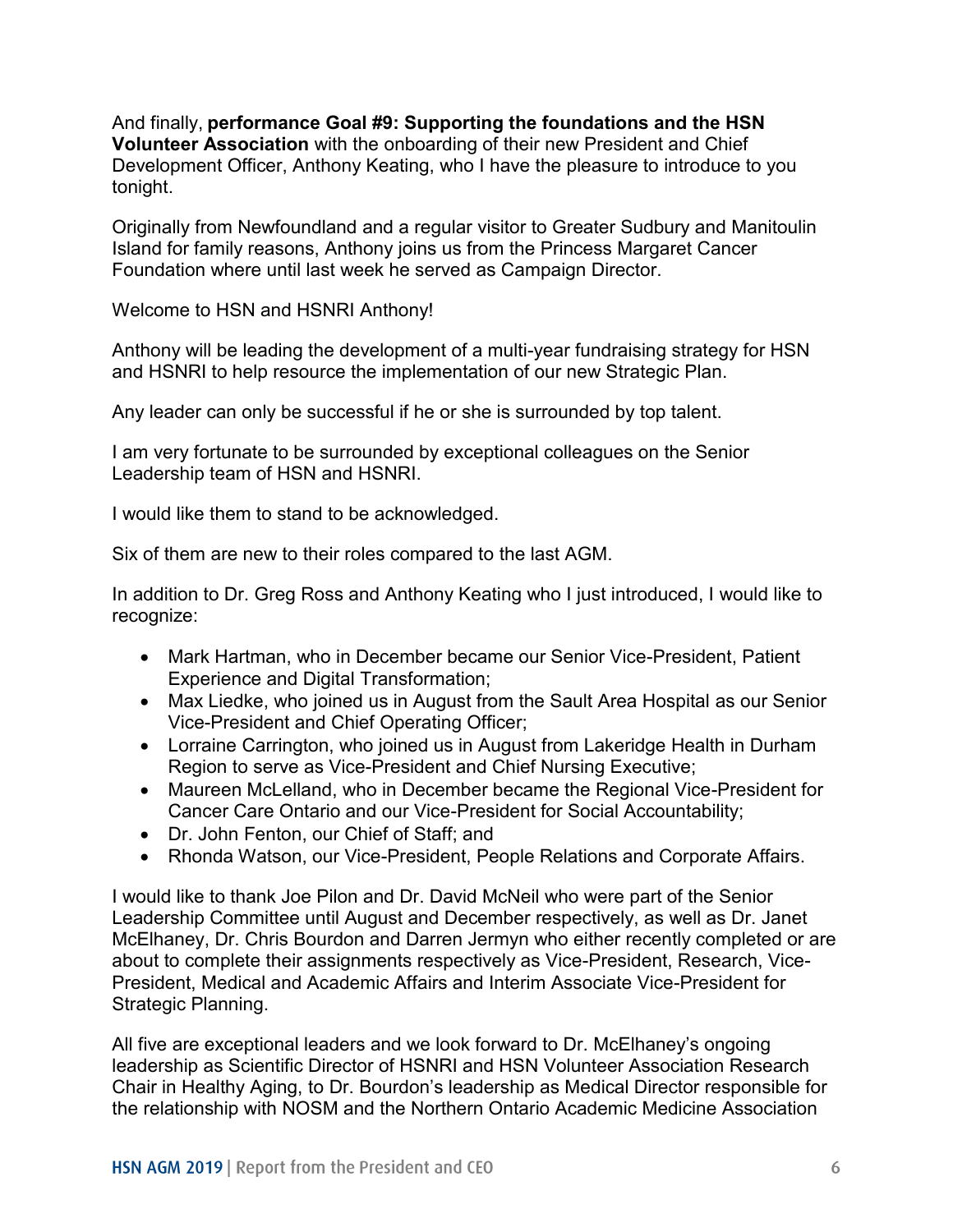tonight. And finally, **performance Goal #9: Supporting the foundations and the HSN Volunteer Association** with the onboarding of their new President and Chief Development Officer, Anthony Keating, who I have the pleasure to introduce to you

tonight.<br>Originally from Newfoundland and a regular visitor to Greater Sudbury and Manitoulin Island for family reasons, Anthony joins us from the Princess Margaret Cancer Foundation where until last week he served as Campaign Director.

Welcome to HSN and HSNRI Anthony!

Anthony will be leading the development of a multi-year fundraising strategy for HSN and HSNRI to help resource the implementation of our new Strategic Plan.

Any leader can only be successful if he or she is surrounded by top talent.

 I am very fortunate to be surrounded by exceptional colleagues on the Senior Leadership team of HSN and HSNRI.

I would like them to stand to be acknowledged.

Six of them are new to their roles compared to the last AGM.

In addition to Dr. Greg Ross and Anthony Keating who I just introduced, I would like to recognize:

- Mark Hartman, who in December became our Senior Vice-President, Patient Experience and Digital Transformation;
- Max Liedke, who joined us in August from the Sault Area Hospital as our Senior Vice-President and Chief Operating Officer;
- Lorraine Carrington, who joined us in August from Lakeridge Health in Durham Region to serve as Vice-President and Chief Nursing Executive;
- Maureen McLelland, who in December became the Regional Vice-President for Cancer Care Ontario and our Vice-President for Social Accountability;
- Dr. John Fenton, our Chief of Staff; and
- Rhonda Watson, our Vice-President, People Relations and Corporate Affairs.

 about to complete their assignments respectively as Vice-President, Research, Vice-I would like to thank Joe Pilon and Dr. David McNeil who were part of the Senior Leadership Committee until August and December respectively, as well as Dr. Janet McElhaney, Dr. Chris Bourdon and Darren Jermyn who either recently completed or are President, Medical and Academic Affairs and Interim Associate Vice-President for Strategic Planning.

All five are exceptional leaders and we look forward to Dr. McElhaney's ongoing leadership as Scientific Director of HSNRI and HSN Volunteer Association Research Chair in Healthy Aging, to Dr. Bourdon's leadership as Medical Director responsible for the relationship with NOSM and the Northern Ontario Academic Medicine Association